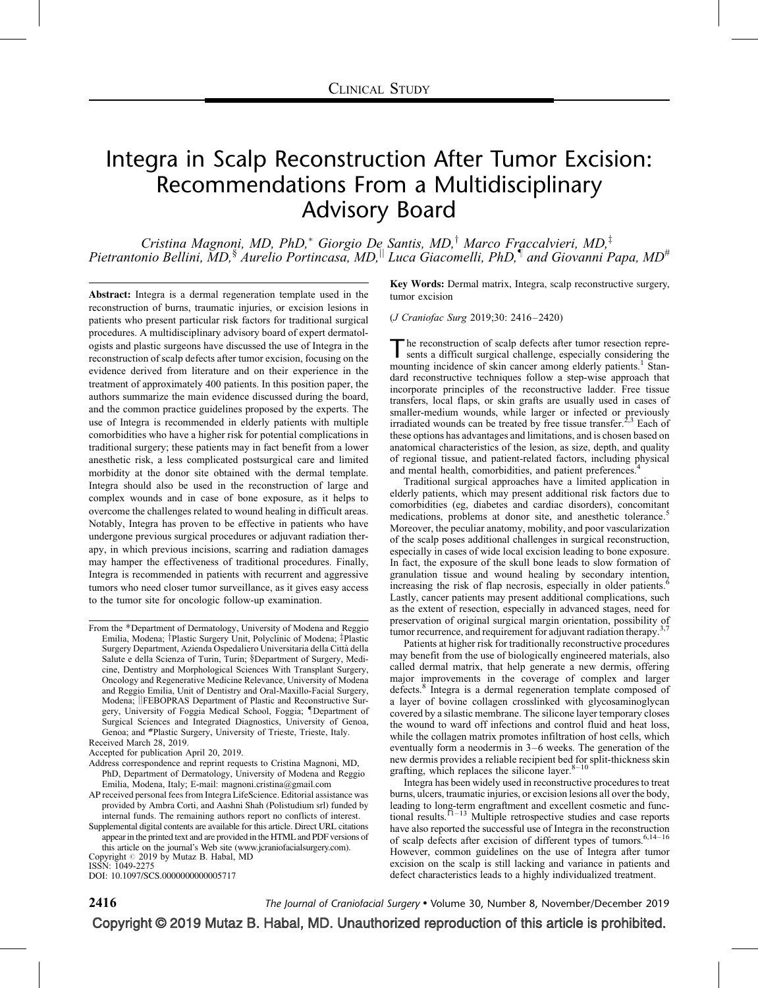# Integra in Scalp Reconstruction After Tumor Excision: Recommendations From a Multidisciplinary Advisory Board

Cristina Magnoni, MD, PhD, $^*$  Giorgio De Santis, MD,<sup>†</sup> Marco Fraccalvieri, MD,<sup>‡</sup> Pietrantonio Bellini, MD,  $\frac{1}{2}$  Aurelio Portincasa, MD, Luca Giacomelli, PhD,  $\frac{1}{2}$  and Giovanni Papa, MD<sup>#</sup>

Abstract: Integra is a dermal regeneration template used in the reconstruction of burns, traumatic injuries, or excision lesions in patients who present particular risk factors for traditional surgical procedures. A multidisciplinary advisory board of expert dermatologists and plastic surgeons have discussed the use of Integra in the reconstruction of scalp defects after tumor excision, focusing on the evidence derived from literature and on their experience in the treatment of approximately 400 patients. In this position paper, the authors summarize the main evidence discussed during the board, and the common practice guidelines proposed by the experts. The use of Integra is recommended in elderly patients with multiple comorbidities who have a higher risk for potential complications in traditional surgery; these patients may in fact benefit from a lower anesthetic risk, a less complicated postsurgical care and limited morbidity at the donor site obtained with the dermal template. Integra should also be used in the reconstruction of large and complex wounds and in case of bone exposure, as it helps to overcome the challenges related to wound healing in difficult areas. Notably, Integra has proven to be effective in patients who have undergone previous surgical procedures or adjuvant radiation therapy, in which previous incisions, scarring and radiation damages may hamper the effectiveness of traditional procedures. Finally, Integra is recommended in patients with recurrent and aggressive tumors who need closer tumor surveillance, as it gives easy access to the tumor site for oncologic follow-up examination.

- Address correspondence and reprint requests to Cristina Magnoni, MD, PhD, Department of Dermatology, University of Modena and Reggio Emilia, Modena, Italy; E-mail: [magnoni.cristina@gmail.com](mailto:magnoni.cristina@gmail.com)
- AP received personal fees from Integra LifeScience. Editorial assistance was provided by Ambra Corti, and Aashni Shah (Polistudium srl) funded by internal funds. The remaining authors report no conflicts of interest.

Supplemental digital contents are available for this article. Direct URL citations appear in the printed text and are provided in the HTML and PDF versions of this article on the journal's Web site ([www.jcraniofacialsurgery.com\)](http://www.jcraniofacialsurgery.com/). Copyright  $@$  2019 by Mutaz B. Habal, MD

ISSN: 1049-2275

DOI: [10.1097/SCS.0000000000005717](http://dx.doi.org/10.1097/SCS.0000000000005717)

Key Words: Dermal matrix, Integra, scalp reconstructive surgery, tumor excision

(J Craniofac Surg 2019;30: 2416–2420)

The reconstruction of scalp defects after tumor resection repre-<br>sents a difficult surgical challenge, especially considering the mounting incidence of skin cancer among elderly patients.<sup>1</sup> Standard reconstructive techniques follow a step-wise approach that incorporate principles of the reconstructive ladder. Free tissue transfers, local flaps, or skin grafts are usually used in cases of smaller-medium wounds, while larger or infected or previously irradiated wounds can be treated by free tissue transfer.<sup>[2,3](#page-3-0)</sup> Each of these options has advantages and limitations, and is chosen based on anatomical characteristics of the lesion, as size, depth, and quality of regional tissue, and patient-related factors, including physical and mental health, comorbidities, and patient preferences.

Traditional surgical approaches have a limited application in elderly patients, which may present additional risk factors due to comorbidities (eg, diabetes and cardiac disorders), concomitant medications, problems at donor site, and anesthetic tolerance.<sup>[5](#page-3-0)</sup> Moreover, the peculiar anatomy, mobility, and poor vascularization of the scalp poses additional challenges in surgical reconstruction, especially in cases of wide local excision leading to bone exposure. In fact, the exposure of the skull bone leads to slow formation of granulation tissue and wound healing by secondary intention, increasing the risk of flap necrosis, especially in older patients.<sup>[6](#page-3-0)</sup> Lastly, cancer patients may present additional complications, such as the extent of resection, especially in advanced stages, need for preservation of original surgical margin orientation, possibility of tumor recurrence, and requirement for adjuvant radiation therapy.<sup>3,7</sup>

Patients at higher risk for traditionally reconstructive procedures may benefit from the use of biologically engineered materials, also called dermal matrix, that help generate a new dermis, offering major improvements in the coverage of complex and larger defects.<sup>[8](#page-3-0)</sup> Integra is a dermal regeneration template composed of a layer of bovine collagen crosslinked with glycosaminoglycan covered by a silastic membrane. The silicone layer temporary closes the wound to ward off infections and control fluid and heat loss, while the collagen matrix promotes infiltration of host cells, which eventually form a neodermis in 3–6 weeks. The generation of the new dermis provides a reliable recipient bed for split-thickness skin grafting, which replaces the silicone layer. $8-10$ 

Integra has been widely used in reconstructive procedures to treat burns, ulcers, traumatic injuries, or excision lesions all over the body, leading to long-term engraftment and excellent cosmetic and func-tional results.<sup>[11–13](#page-3-0)</sup> Multiple retrospective studies and case reports have also reported the successful use of Integra in the reconstruction of scalp defects after excision of different types of tumors[.6,14–16](#page-3-0) However, common guidelines on the use of Integra after tumor excision on the scalp is still lacking and variance in patients and defect characteristics leads to a highly individualized treatment.

**2416** The Journal of Craniofacial Surgery • Volume 30, Number 8, November/December 2019

Copyright © 2019 Mutaz B. Habal, MD. Unauthorized reproduction of this article is prohibited.

From the \*Department of Dermatology, University of Modena and Reggio Emilia, Modena; <sup>†</sup>Plastic Surgery Unit, Polyclinic of Modena; <sup>†</sup>Plastic Surgery Department, Azienda Ospedaliero Universitaria della Città della Salute e della Scienza of Turin, Turin; §Department of Surgery, Medicine, Dentistry and Morphological Sciences With Transplant Surgery, Oncology and Regenerative Medicine Relevance, University of Modena and Reggio Emilia, Unit of Dentistry and Oral-Maxillo-Facial Surgery, Modena; **JFEBOPRAS** Department of Plastic and Reconstructive Surgery, University of Foggia Medical School, Foggia; IDepartment of Surgical Sciences and Integrated Diagnostics, University of Genoa, Genoa; and #Plastic Surgery, University of Trieste, Trieste, Italy. Received March 28, 2019.

Accepted for publication April 20, 2019.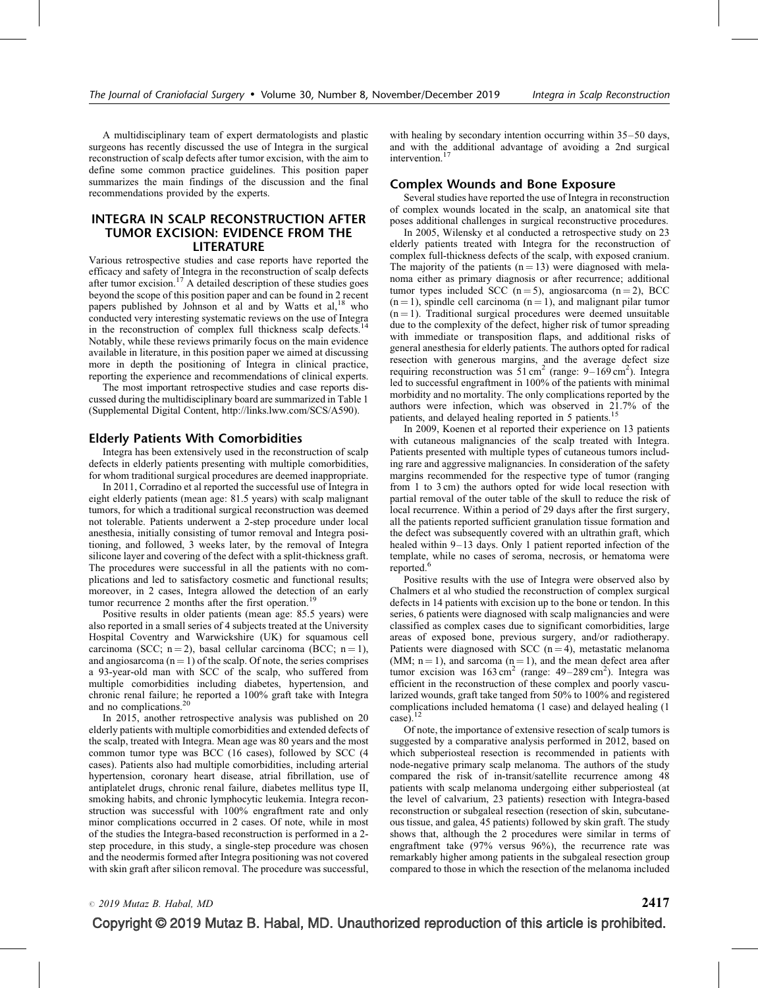A multidisciplinary team of expert dermatologists and plastic surgeons has recently discussed the use of Integra in the surgical reconstruction of scalp defects after tumor excision, with the aim to define some common practice guidelines. This position paper summarizes the main findings of the discussion and the final recommendations provided by the experts.

# INTEGRA IN SCALP RECONSTRUCTION AFTER TUMOR EXCISION: EVIDENCE FROM THE LITERATURE

Various retrospective studies and case reports have reported the efficacy and safety of Integra in the reconstruction of scalp defects after tumor excision.<sup>[17](#page-3-0)</sup> A detailed description of these studies goes beyond the scope of this position paper and can be found in 2 recent papers published by Johnson et al and by Watts et  $al$ ,<sup>[18](#page-3-0)</sup> who conducted very interesting systematic reviews on the use of Integra in the reconstruction of complex full thickness scalp defects.<sup>[14](#page-3-0)</sup> Notably, while these reviews primarily focus on the main evidence available in literature, in this position paper we aimed at discussing more in depth the positioning of Integra in clinical practice, reporting the experience and recommendations of clinical experts.

The most important retrospective studies and case reports discussed during the multidisciplinary board are summarized in Table 1 (Supplemental Digital Content, [http://links.lww.com/SCS/A590\)](http://links.lww.com/SCS/A590).

# Elderly Patients With Comorbidities

Integra has been extensively used in the reconstruction of scalp defects in elderly patients presenting with multiple comorbidities, for whom traditional surgical procedures are deemed inappropriate.

In 2011, Corradino et al reported the successful use of Integra in eight elderly patients (mean age: 81.5 years) with scalp malignant tumors, for which a traditional surgical reconstruction was deemed not tolerable. Patients underwent a 2-step procedure under local anesthesia, initially consisting of tumor removal and Integra positioning, and followed, 3 weeks later, by the removal of Integra silicone layer and covering of the defect with a split-thickness graft. The procedures were successful in all the patients with no complications and led to satisfactory cosmetic and functional results; moreover, in 2 cases, Integra allowed the detection of an early tumor recurrence 2 months after the first operation.<sup>[19](#page-3-0)</sup>

Positive results in older patients (mean age: 85.5 years) were also reported in a small series of 4 subjects treated at the University Hospital Coventry and Warwickshire (UK) for squamous cell carcinoma (SCC;  $n = 2$ ), basal cellular carcinoma (BCC;  $n = 1$ ), and angiosarcoma  $(n = 1)$  of the scalp. Of note, the series comprises a 93-year-old man with SCC of the scalp, who suffered from multiple comorbidities including diabetes, hypertension, and chronic renal failure; he reported a 100% graft take with Integra and no complications. $20$ 

In 2015, another retrospective analysis was published on 20 elderly patients with multiple comorbidities and extended defects of the scalp, treated with Integra. Mean age was 80 years and the most common tumor type was BCC (16 cases), followed by SCC (4 cases). Patients also had multiple comorbidities, including arterial hypertension, coronary heart disease, atrial fibrillation, use of antiplatelet drugs, chronic renal failure, diabetes mellitus type II, smoking habits, and chronic lymphocytic leukemia. Integra reconstruction was successful with 100% engraftment rate and only minor complications occurred in 2 cases. Of note, while in most of the studies the Integra-based reconstruction is performed in a 2 step procedure, in this study, a single-step procedure was chosen and the neodermis formed after Integra positioning was not covered with skin graft after silicon removal. The procedure was successful, with healing by secondary intention occurring within  $35-50$  days, and with the additional advantage of avoiding a 2nd surgical intervention.<sup>[17](#page-3-0)</sup>

# Complex Wounds and Bone Exposure

Several studies have reported the use of Integra in reconstruction of complex wounds located in the scalp, an anatomical site that poses additional challenges in surgical reconstructive procedures.

In 2005, Wilensky et al conducted a retrospective study on 23 elderly patients treated with Integra for the reconstruction of complex full-thickness defects of the scalp, with exposed cranium. The majority of the patients  $(n = 13)$  were diagnosed with melanoma either as primary diagnosis or after recurrence; additional tumor types included SCC  $(n=5)$ , angiosarcoma  $(n=2)$ , BCC  $(n = 1)$ , spindle cell carcinoma  $(n = 1)$ , and malignant pilar tumor  $(n = 1)$ . Traditional surgical procedures were deemed unsuitable due to the complexity of the defect, higher risk of tumor spreading with immediate or transposition flaps, and additional risks of general anesthesia for elderly patients. The authors opted for radical resection with generous margins, and the average defect size requiring reconstruction was  $51 \text{ cm}^2$  (range:  $9-169 \text{ cm}^2$ ). Integra led to successful engraftment in 100% of the patients with minimal morbidity and no mortality. The only complications reported by the authors were infection, which was observed in 21.7% of the patients, and delayed healing reported in 5 patients.<sup>[15](#page-3-0)</sup>

In 2009, Koenen et al reported their experience on 13 patients with cutaneous malignancies of the scalp treated with Integra. Patients presented with multiple types of cutaneous tumors including rare and aggressive malignancies. In consideration of the safety margins recommended for the respective type of tumor (ranging from 1 to 3 cm) the authors opted for wide local resection with partial removal of the outer table of the skull to reduce the risk of local recurrence. Within a period of 29 days after the first surgery, all the patients reported sufficient granulation tissue formation and the defect was subsequently covered with an ultrathin graft, which healed within 9–13 days. Only 1 patient reported infection of the template, while no cases of seroma, necrosis, or hematoma were reported. $<sup>6</sup>$  $<sup>6</sup>$  $<sup>6</sup>$ </sup>

Positive results with the use of Integra were observed also by Chalmers et al who studied the reconstruction of complex surgical defects in 14 patients with excision up to the bone or tendon. In this series, 6 patients were diagnosed with scalp malignancies and were classified as complex cases due to significant comorbidities, large areas of exposed bone, previous surgery, and/or radiotherapy. Patients were diagnosed with SCC  $(n = 4)$ , metastatic melanoma (MM;  $n = 1$ ), and sarcoma ( $n = 1$ ), and the mean defect area after tumor excision was  $163 \text{ cm}^2$  (range:  $49-289 \text{ cm}^2$ ). Integra was efficient in the reconstruction of these complex and poorly vascularized wounds, graft take tanged from 50% to 100% and registered complications included hematoma (1 case) and delayed healing (1 case).[12](#page-3-0)

Of note, the importance of extensive resection of scalp tumors is suggested by a comparative analysis performed in 2012, based on which subperiosteal resection is recommended in patients with node-negative primary scalp melanoma. The authors of the study compared the risk of in-transit/satellite recurrence among 48 patients with scalp melanoma undergoing either subperiosteal (at the level of calvarium, 23 patients) resection with Integra-based reconstruction or subgaleal resection (resection of skin, subcutaneous tissue, and galea, 45 patients) followed by skin graft. The study shows that, although the 2 procedures were similar in terms of engraftment take (97% versus 96%), the recurrence rate was remarkably higher among patients in the subgaleal resection group compared to those in which the resection of the melanoma included

 $\circ$  2019 Mutaz B. Habal, MD 2417

Copyright © 2019 Mutaz B. Habal, MD. Unauthorized reproduction of this article is prohibited.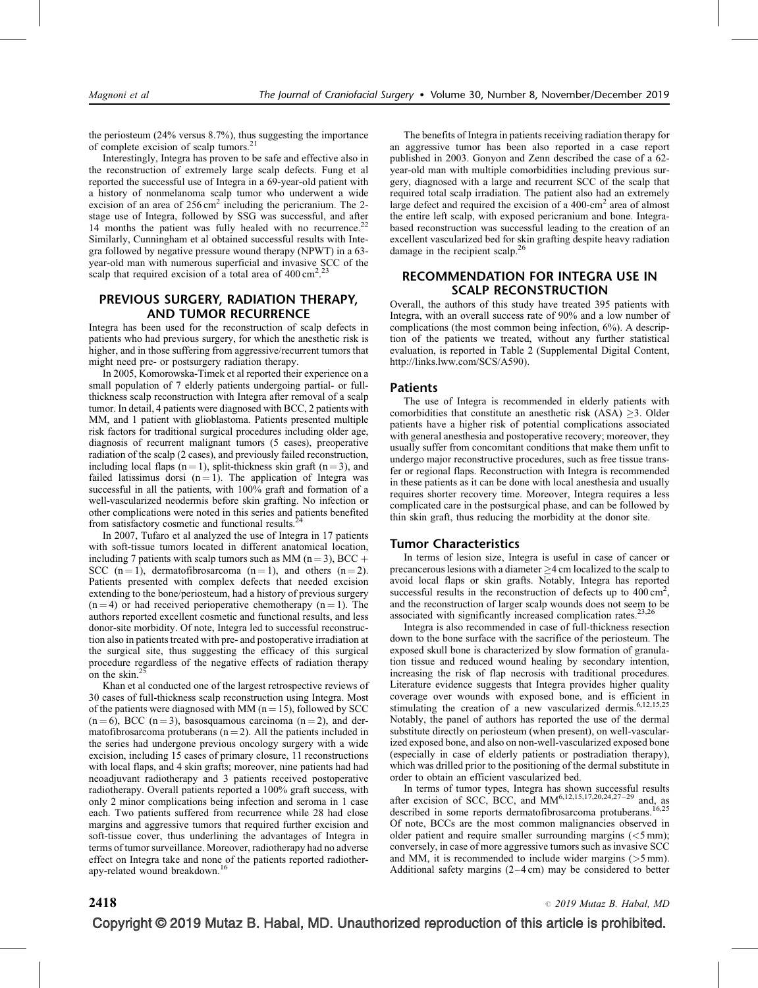the periosteum (24% versus 8.7%), thus suggesting the importance of complete excision of scalp tumors.<sup>21</sup>

Interestingly, Integra has proven to be safe and effective also in the reconstruction of extremely large scalp defects. Fung et al reported the successful use of Integra in a 69-year-old patient with a history of nonmelanoma scalp tumor who underwent a wide excision of an area of  $256 \text{ cm}^2$  including the pericranium. The 2stage use of Integra, followed by SSG was successful, and after 14 months the patient was fully healed with no recurrence.<sup>[22](#page-4-0)</sup> Similarly, Cunningham et al obtained successful results with Integra followed by negative pressure wound therapy (NPWT) in a 63 year-old man with numerous superficial and invasive SCC of the scalp that required excision of a total area of  $400 \text{ cm}^2$ .<sup>[23](#page-4-0)</sup>

# PREVIOUS SURGERY, RADIATION THERAPY, AND TUMOR RECURRENCE

Integra has been used for the reconstruction of scalp defects in patients who had previous surgery, for which the anesthetic risk is higher, and in those suffering from aggressive/recurrent tumors that might need pre- or postsurgery radiation therapy.

In 2005, Komorowska-Timek et al reported their experience on a small population of 7 elderly patients undergoing partial- or fullthickness scalp reconstruction with Integra after removal of a scalp tumor. In detail, 4 patients were diagnosed with BCC, 2 patients with MM, and 1 patient with glioblastoma. Patients presented multiple risk factors for traditional surgical procedures including older age, diagnosis of recurrent malignant tumors (5 cases), preoperative radiation of the scalp (2 cases), and previously failed reconstruction, including local flaps  $(n = 1)$ , split-thickness skin graft  $(n = 3)$ , and failed latissimus dorsi  $(n = 1)$ . The application of Integra was successful in all the patients, with 100% graft and formation of a well-vascularized neodermis before skin grafting. No infection or other complications were noted in this series and patients benefited from satisfactory cosmetic and functional results.<sup>4</sup>

In 2007, Tufaro et al analyzed the use of Integra in 17 patients with soft-tissue tumors located in different anatomical location, including 7 patients with scalp tumors such as MM ( $n = 3$ ), BCC + SCC  $(n = 1)$ , dermatofibrosarcoma  $(n = 1)$ , and others  $(n = 2)$ . Patients presented with complex defects that needed excision extending to the bone/periosteum, had a history of previous surgery  $(n = 4)$  or had received perioperative chemotherapy  $(n = 1)$ . The authors reported excellent cosmetic and functional results, and less donor-site morbidity. Of note, Integra led to successful reconstruction also in patients treated with pre- and postoperative irradiation at the surgical site, thus suggesting the efficacy of this surgical procedure regardless of the negative effects of radiation therapy on the skin. $^{25}$  $^{25}$  $^{25}$ 

Khan et al conducted one of the largest retrospective reviews of 30 cases of full-thickness scalp reconstruction using Integra. Most of the patients were diagnosed with MM ( $n = 15$ ), followed by SCC  $(n = 6)$ , BCC  $(n = 3)$ , basosquamous carcinoma  $(n = 2)$ , and dermatofibrosarcoma protuberans  $(n = 2)$ . All the patients included in the series had undergone previous oncology surgery with a wide excision, including 15 cases of primary closure, 11 reconstructions with local flaps, and 4 skin grafts; moreover, nine patients had had neoadjuvant radiotherapy and 3 patients received postoperative radiotherapy. Overall patients reported a 100% graft success, with only 2 minor complications being infection and seroma in 1 case each. Two patients suffered from recurrence while 28 had close margins and aggressive tumors that required further excision and soft-tissue cover, thus underlining the advantages of Integra in terms of tumor surveillance. Moreover, radiotherapy had no adverse effect on Integra take and none of the patients reported radiother-apy-related wound breakdown.<sup>[16](#page-3-0)</sup>

The benefits of Integra in patients receiving radiation therapy for an aggressive tumor has been also reported in a case report published in 2003. Gonyon and Zenn described the case of a 62 year-old man with multiple comorbidities including previous surgery, diagnosed with a large and recurrent SCC of the scalp that required total scalp irradiation. The patient also had an extremely large defect and required the excision of a  $400$ -cm<sup>2</sup> area of almost the entire left scalp, with exposed pericranium and bone. Integrabased reconstruction was successful leading to the creation of an excellent vascularized bed for skin grafting despite heavy radiation damage in the recipient scalp.<sup>26</sup>

# RECOMMENDATION FOR INTEGRA USE IN SCALP RECONSTRUCTION

Overall, the authors of this study have treated 395 patients with Integra, with an overall success rate of 90% and a low number of complications (the most common being infection, 6%). A description of the patients we treated, without any further statistical evaluation, is reported in Table 2 (Supplemental Digital Content, <http://links.lww.com/SCS/A590>).

## Patients

The use of Integra is recommended in elderly patients with comorbidities that constitute an anesthetic risk  $(ASA) \geq 3$ . Older patients have a higher risk of potential complications associated with general anesthesia and postoperative recovery; moreover, they usually suffer from concomitant conditions that make them unfit to undergo major reconstructive procedures, such as free tissue transfer or regional flaps. Reconstruction with Integra is recommended in these patients as it can be done with local anesthesia and usually requires shorter recovery time. Moreover, Integra requires a less complicated care in the postsurgical phase, and can be followed by thin skin graft, thus reducing the morbidity at the donor site.

## Tumor Characteristics

In terms of lesion size, Integra is useful in case of cancer or precancerous lesions with a diameter  $\geq$ 4 cm localized to the scalp to avoid local flaps or skin grafts. Notably, Integra has reported successful results in the reconstruction of defects up to  $400 \text{ cm}^2$ , and the reconstruction of larger scalp wounds does not seem to be associated with significantly increased complication rates.[23,26](#page-4-0)

Integra is also recommended in case of full-thickness resection down to the bone surface with the sacrifice of the periosteum. The exposed skull bone is characterized by slow formation of granulation tissue and reduced wound healing by secondary intention, increasing the risk of flap necrosis with traditional procedures. Literature evidence suggests that Integra provides higher quality coverage over wounds with exposed bone, and is efficient in stimulating the creation of a new vascularized dermis. $6,12,15,25$ Notably, the panel of authors has reported the use of the dermal substitute directly on periosteum (when present), on well-vascularized exposed bone, and also on non-well-vascularized exposed bone (especially in case of elderly patients or postradiation therapy), which was drilled prior to the positioning of the dermal substitute in order to obtain an efficient vascularized bed.

In terms of tumor types, Integra has shown successful results after excision of SCC, BCC, and MM<sup>[6,12,15,17,20,24,27–29](#page-3-0)</sup> and, as described in some reports dermatofibrosarcoma protuberans.<sup>[16,25](#page-3-0)</sup> Of note, BCCs are the most common malignancies observed in older patient and require smaller surrounding margins  $(<5 \,\mathrm{mm})$ ; conversely, in case of more aggressive tumors such as invasive SCC and MM, it is recommended to include wider margins (>5 mm). Additional safety margins (2–4 cm) may be considered to better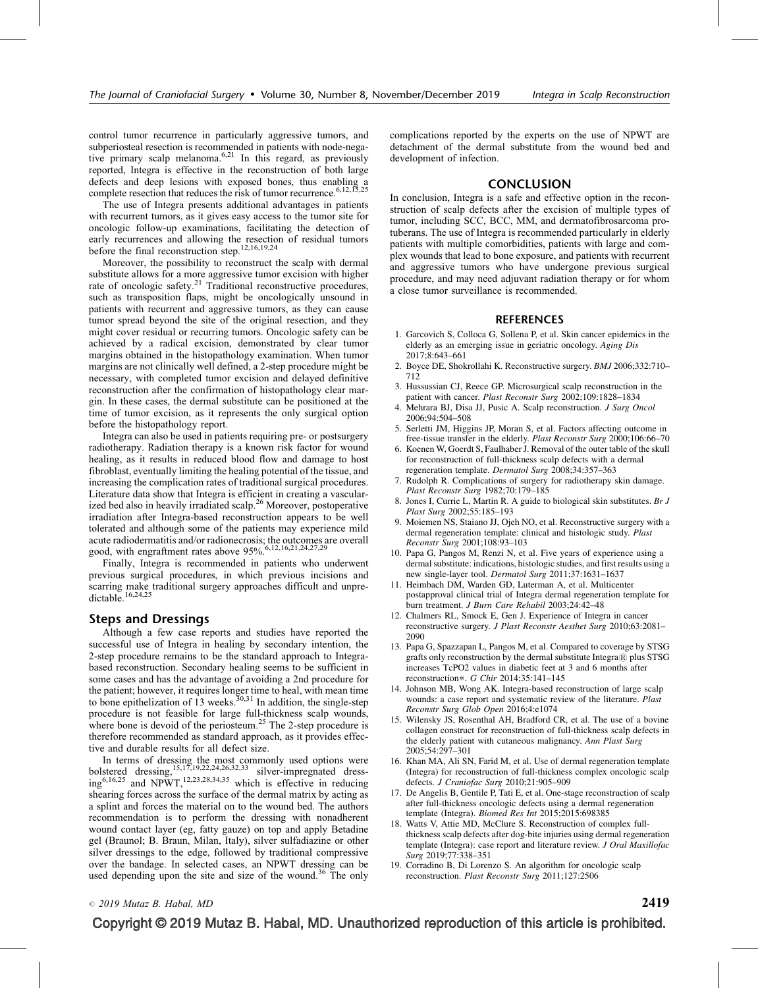<span id="page-3-0"></span>control tumor recurrence in particularly aggressive tumors, and subperiosteal resection is recommended in patients with node-negative primary scalp melanoma. $6,21$  In this regard, as previously reported, Integra is effective in the reconstruction of both large defects and deep lesions with exposed bones, thus enabling a complete resection that reduces the risk of tumor recurrence.<sup>6,12,15,25</sup>

The use of Integra presents additional advantages in patients with recurrent tumors, as it gives easy access to the tumor site for oncologic follow-up examinations, facilitating the detection of early recurrences and allowing the resection of residual tumors before the final reconstruction step.<sup>12,16,19,24</sup>

Moreover, the possibility to reconstruct the scalp with dermal substitute allows for a more aggressive tumor excision with higher rate of oncologic safety.<sup>[21](#page-4-0)</sup> Traditional reconstructive procedures, such as transposition flaps, might be oncologically unsound in patients with recurrent and aggressive tumors, as they can cause tumor spread beyond the site of the original resection, and they might cover residual or recurring tumors. Oncologic safety can be achieved by a radical excision, demonstrated by clear tumor margins obtained in the histopathology examination. When tumor margins are not clinically well defined, a 2-step procedure might be necessary, with completed tumor excision and delayed definitive reconstruction after the confirmation of histopathology clear margin. In these cases, the dermal substitute can be positioned at the time of tumor excision, as it represents the only surgical option before the histopathology report.

Integra can also be used in patients requiring pre- or postsurgery radiotherapy. Radiation therapy is a known risk factor for wound healing, as it results in reduced blood flow and damage to host fibroblast, eventually limiting the healing potential of the tissue, and increasing the complication rates of traditional surgical procedures. Literature data show that Integra is efficient in creating a vascularized bed also in heavily irradiated scalp.<sup>26</sup> Moreover, postoperative irradiation after Integra-based reconstruction appears to be well tolerated and although some of the patients may experience mild acute radiodermatitis and/or radionecrosis; the outcomes are overall good, with engraftment rates above  $95\%^{6,12,16,21,24,27,29}$ 

Finally, Integra is recommended in patients who underwent previous surgical procedures, in which previous incisions and scarring make traditional surgery approaches difficult and unpre-<br>dictable.<sup>16,24,25</sup>

## Steps and Dressings

Although a few case reports and studies have reported the successful use of Integra in healing by secondary intention, the 2-step procedure remains to be the standard approach to Integrabased reconstruction. Secondary healing seems to be sufficient in some cases and has the advantage of avoiding a 2nd procedure for the patient; however, it requires longer time to heal, with mean time to bone epithelization of 13 weeks.<sup>[30,31](#page-4-0)</sup> In addition, the single-step procedure is not feasible for large full-thickness scalp wounds, where bone is devoid of the periosteum.<sup>[25](#page-4-0)</sup> The 2-step procedure is therefore recommended as standard approach, as it provides effective and durable results for all defect size.

In terms of dressing the most commonly used options were<br>bolstered dressing,<sup>15,17,19,22,24,26,32,33</sup> silver-impregnated dressing $6,16,25$  and NPWT,<sup>12,23,28,34,35</sup> which is effective in reducing shearing forces across the surface of the dermal matrix by acting as a splint and forces the material on to the wound bed. The authors recommendation is to perform the dressing with nonadherent wound contact layer (eg, fatty gauze) on top and apply Betadine gel (Braunol; B. Braun, Milan, Italy), silver sulfadiazine or other silver dressings to the edge, followed by traditional compressive over the bandage. In selected cases, an NPWT dressing can be used depending upon the site and size of the wound.<sup>36</sup> The only

complications reported by the experts on the use of NPWT are detachment of the dermal substitute from the wound bed and development of infection.

## **CONCLUSION**

In conclusion, Integra is a safe and effective option in the reconstruction of scalp defects after the excision of multiple types of tumor, including SCC, BCC, MM, and dermatofibrosarcoma protuberans. The use of Integra is recommended particularly in elderly patients with multiple comorbidities, patients with large and complex wounds that lead to bone exposure, and patients with recurrent and aggressive tumors who have undergone previous surgical procedure, and may need adjuvant radiation therapy or for whom a close tumor surveillance is recommended.

# **REFERENCES**

- 1. Garcovich S, Colloca G, Sollena P, et al. Skin cancer epidemics in the elderly as an emerging issue in geriatric oncology. Aging Dis 2017;8:643–661
- 2. Boyce DE, Shokrollahi K. Reconstructive surgery. BMJ 2006;332:710– 712
- 3. Hussussian CJ, Reece GP. Microsurgical scalp reconstruction in the patient with cancer. Plast Reconstr Surg 2002;109:1828–1834
- 4. Mehrara BJ, Disa JJ, Pusic A. Scalp reconstruction. J Surg Oncol 2006;94:504–508
- 5. Serletti JM, Higgins JP, Moran S, et al. Factors affecting outcome in free-tissue transfer in the elderly. Plast Reconstr Surg 2000;106:66–70
- 6. Koenen W, Goerdt S, Faulhaber J. Removal of the outer table of the skull for reconstruction of full-thickness scalp defects with a dermal regeneration template. Dermatol Surg 2008;34:357–363
- 7. Rudolph R. Complications of surgery for radiotherapy skin damage. Plast Reconstr Surg 1982;70:179–185
- 8. Jones I, Currie L, Martin R. A guide to biological skin substitutes. Br J Plast Surg 2002;55:185–193
- 9. Moiemen NS, Staiano JJ, Ojeh NO, et al. Reconstructive surgery with a dermal regeneration template: clinical and histologic study. Plast Reconstr Surg 2001;108:93–103
- 10. Papa G, Pangos M, Renzi N, et al. Five years of experience using a dermal substitute: indications, histologic studies, and first results using a new single-layer tool. Dermatol Surg 2011;37:1631–1637
- 11. Heimbach DM, Warden GD, Luterman A, et al. Multicenter postapproval clinical trial of Integra dermal regeneration template for burn treatment. J Burn Care Rehabil 2003;24:42–48
- 12. Chalmers RL, Smock E, Gen J. Experience of Integra in cancer reconstructive surgery. J Plast Reconstr Aesthet Surg 2010;63:2081– 2090
- 13. Papa G, Spazzapan L, Pangos M, et al. Compared to coverage by STSG grafts only reconstruction by the dermal substitute Integra® plus STSG increases TcPO2 values in diabetic feet at 3 and 6 months after reconstruction\*. *G Chir* 2014;35:141-145
- 14. Johnson MB, Wong AK. Integra-based reconstruction of large scalp wounds: a case report and systematic review of the literature. Plast Reconstr Surg Glob Open 2016;4:e1074
- 15. Wilensky JS, Rosenthal AH, Bradford CR, et al. The use of a bovine collagen construct for reconstruction of full-thickness scalp defects in the elderly patient with cutaneous malignancy. Ann Plast Surg 2005;54:297–301
- 16. Khan MA, Ali SN, Farid M, et al. Use of dermal regeneration template (Integra) for reconstruction of full-thickness complex oncologic scalp defects. J Craniofac Surg 2010;21:905–909
- 17. De Angelis B, Gentile P, Tati E, et al. One-stage reconstruction of scalp after full-thickness oncologic defects using a dermal regeneration template (Integra). Biomed Res Int 2015;2015:698385
- 18. Watts V, Attie MD, McClure S. Reconstruction of complex fullthickness scalp defects after dog-bite injuries using dermal regeneration template (Integra): case report and literature review. J Oral Maxillofac Surg 2019:77:338-351
- 19. Corradino B, Di Lorenzo S. An algorithm for oncologic scalp reconstruction. Plast Reconstr Surg 2011;127:2506

 $\circ$  2019 Mutaz B. Habal, MD 2419

Copyright © 2019 Mutaz B. Habal, MD. Unauthorized reproduction of this article is prohibited.